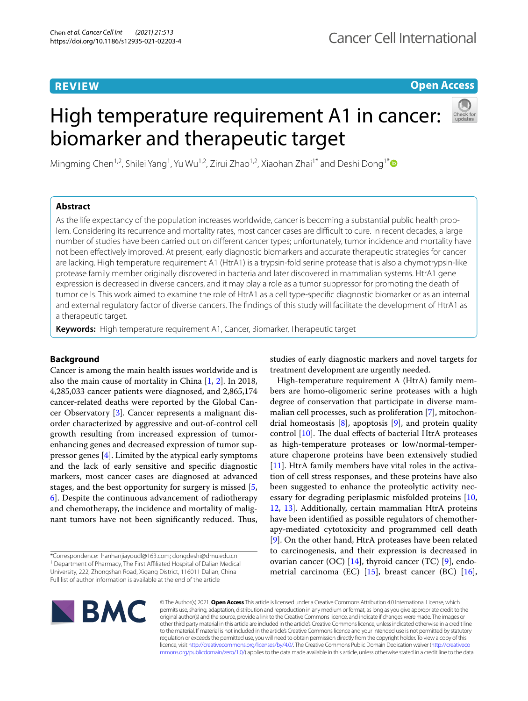# **REVIEW**

# **Open Access**

# High temperature requirement A1 in cancer: biomarker and therapeutic target



Mingming Chen<sup>1,2</sup>, Shilei Yang<sup>1</sup>, Yu Wu<sup>1,2</sup>, Zirui Zhao<sup>1,2</sup>, Xiaohan Zhai<sup>1[\\*](http://orcid.org/0000-0003-3266-4314)</sup> and Deshi Dong<sup>1\*</sup>

## **Abstract**

As the life expectancy of the population increases worldwide, cancer is becoming a substantial public health problem. Considering its recurrence and mortality rates, most cancer cases are difficult to cure. In recent decades, a large number of studies have been carried out on diferent cancer types; unfortunately, tumor incidence and mortality have not been efectively improved. At present, early diagnostic biomarkers and accurate therapeutic strategies for cancer are lacking. High temperature requirement A1 (HtrA1) is a trypsin-fold serine protease that is also a chymotrypsin-like protease family member originally discovered in bacteria and later discovered in mammalian systems. HtrA1 gene expression is decreased in diverse cancers, and it may play a role as a tumor suppressor for promoting the death of tumor cells. This work aimed to examine the role of HtrA1 as a cell type-specifc diagnostic biomarker or as an internal and external regulatory factor of diverse cancers. The fndings of this study will facilitate the development of HtrA1 as a therapeutic target.

**Keywords:** High temperature requirement A1, Cancer, Biomarker, Therapeutic target

## **Background**

Cancer is among the main health issues worldwide and is also the main cause of mortality in China [[1,](#page-6-0) [2\]](#page-6-1). In 2018, 4,285,033 cancer patients were diagnosed, and 2,865,174 cancer-related deaths were reported by the Global Cancer Observatory [\[3](#page-6-2)]. Cancer represents a malignant disorder characterized by aggressive and out-of-control cell growth resulting from increased expression of tumorenhancing genes and decreased expression of tumor suppressor genes  $[4]$  $[4]$  $[4]$ . Limited by the atypical early symptoms and the lack of early sensitive and specifc diagnostic markers, most cancer cases are diagnosed at advanced stages, and the best opportunity for surgery is missed [\[5](#page-6-4), [6\]](#page-6-5). Despite the continuous advancement of radiotherapy and chemotherapy, the incidence and mortality of malignant tumors have not been significantly reduced. Thus,

\*Correspondence: hanhanjiayoudl@163.com; dongdeshi@dmu.edu.cn <sup>1</sup> Department of Pharmacy, The First Affiliated Hospital of Dalian Medical University, 222, Zhongshan Road, Xigang District, 116011 Dalian, China Full list of author information is available at the end of the article

studies of early diagnostic markers and novel targets for treatment development are urgently needed.

High-temperature requirement A (HtrA) family members are homo-oligomeric serine proteases with a high degree of conservation that participate in diverse mammalian cell processes, such as proliferation [[7\]](#page-6-6), mitochondrial homeostasis  $[8]$  $[8]$  $[8]$ , apoptosis  $[9]$  $[9]$ , and protein quality control  $[10]$  $[10]$ . The dual effects of bacterial HtrA proteases as high-temperature proteases or low/normal-temperature chaperone proteins have been extensively studied [[11\]](#page-6-10). HtrA family members have vital roles in the activation of cell stress responses, and these proteins have also been suggested to enhance the proteolytic activity nec-essary for degrading periplasmic misfolded proteins [[10](#page-6-9), [12,](#page-6-11) [13](#page-6-12)]. Additionally, certain mammalian HtrA proteins have been identifed as possible regulators of chemotherapy-mediated cytotoxicity and programmed cell death [[9\]](#page-6-8). On the other hand, HtrA proteases have been related to carcinogenesis, and their expression is decreased in ovarian cancer (OC)  $[14]$  $[14]$ , thyroid cancer (TC)  $[9]$  $[9]$  $[9]$ , endometrial carcinoma (EC) [[15\]](#page-6-14), breast cancer (BC) [\[16](#page-6-15)],



© The Author(s) 2021. **Open Access** This article is licensed under a Creative Commons Attribution 4.0 International License, which permits use, sharing, adaptation, distribution and reproduction in any medium or format, as long as you give appropriate credit to the original author(s) and the source, provide a link to the Creative Commons licence, and indicate if changes were made. The images or other third party material in this article are included in the article's Creative Commons licence, unless indicated otherwise in a credit line to the material. If material is not included in the article's Creative Commons licence and your intended use is not permitted by statutory regulation or exceeds the permitted use, you will need to obtain permission directly from the copyright holder. To view a copy of this licence, visit [http://creativecommons.org/licenses/by/4.0/.](http://creativecommons.org/licenses/by/4.0/) The Creative Commons Public Domain Dedication waiver ([http://creativeco](http://creativecommons.org/publicdomain/zero/1.0/) [mmons.org/publicdomain/zero/1.0/](http://creativecommons.org/publicdomain/zero/1.0/)) applies to the data made available in this article, unless otherwise stated in a credit line to the data.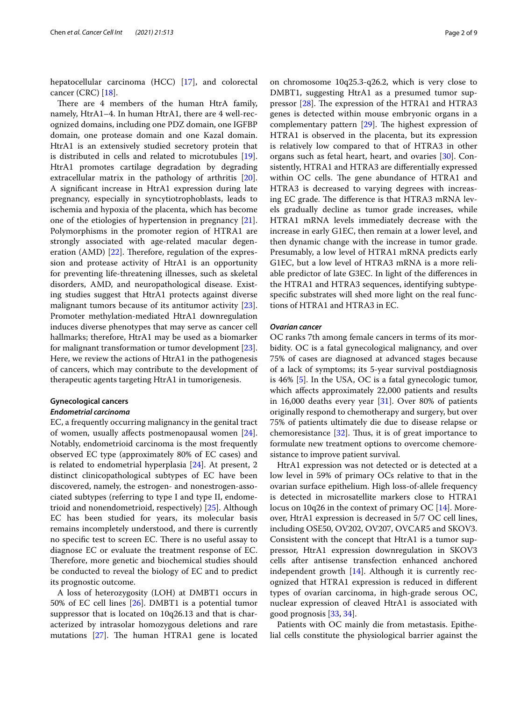hepatocellular carcinoma (HCC) [\[17](#page-6-16)], and colorectal cancer (CRC) [[18\]](#page-6-17).

There are 4 members of the human HtrA family, namely, HtrA1–4. In human HtrA1, there are 4 well-recognized domains, including one PDZ domain, one IGFBP domain, one protease domain and one Kazal domain. HtrA1 is an extensively studied secretory protein that is distributed in cells and related to microtubules [\[19](#page-6-18)]. HtrA1 promotes cartilage degradation by degrading extracellular matrix in the pathology of arthritis [\[20](#page-6-19)]. A signifcant increase in HtrA1 expression during late pregnancy, especially in syncytiotrophoblasts, leads to ischemia and hypoxia of the placenta, which has become one of the etiologies of hypertension in pregnancy [\[21](#page-6-20)]. Polymorphisms in the promoter region of HTRA1 are strongly associated with age-related macular degeneration (AMD)  $[22]$ . Therefore, regulation of the expression and protease activity of HtrA1 is an opportunity for preventing life-threatening illnesses, such as skeletal disorders, AMD, and neuropathological disease. Existing studies suggest that HtrA1 protects against diverse malignant tumors because of its antitumor activity [\[23](#page-6-22)]. Promoter methylation-mediated HtrA1 downregulation induces diverse phenotypes that may serve as cancer cell hallmarks; therefore, HtrA1 may be used as a biomarker for malignant transformation or tumor development [\[23](#page-6-22)]. Here, we review the actions of HtrA1 in the pathogenesis of cancers, which may contribute to the development of therapeutic agents targeting HtrA1 in tumorigenesis.

#### **Gynecological cancers**

### *Endometrial carcinoma*

EC, a frequently occurring malignancy in the genital tract of women, usually afects postmenopausal women [\[24](#page-6-23)]. Notably, endometrioid carcinoma is the most frequently observed EC type (approximately 80% of EC cases) and is related to endometrial hyperplasia [\[24\]](#page-6-23). At present, 2 distinct clinicopathological subtypes of EC have been discovered, namely, the estrogen- and nonestrogen-associated subtypes (referring to type I and type II, endometrioid and nonendometrioid, respectively) [[25\]](#page-6-24). Although EC has been studied for years, its molecular basis remains incompletely understood, and there is currently no specific test to screen EC. There is no useful assay to diagnose EC or evaluate the treatment response of EC. Therefore, more genetic and biochemical studies should be conducted to reveal the biology of EC and to predict its prognostic outcome.

A loss of heterozygosity (LOH) at DMBT1 occurs in 50% of EC cell lines [\[26\]](#page-6-25). DMBT1 is a potential tumor suppressor that is located on 10q26.13 and that is characterized by intrasolar homozygous deletions and rare mutations  $[27]$  $[27]$ . The human HTRA1 gene is located

on chromosome 10q25.3-q26.2, which is very close to DMBT1, suggesting HtrA1 as a presumed tumor suppressor  $[28]$ . The expression of the HTRA1 and HTRA3 genes is detected within mouse embryonic organs in a complementary pattern  $[29]$  $[29]$ . The highest expression of HTRA1 is observed in the placenta, but its expression is relatively low compared to that of HTRA3 in other organs such as fetal heart, heart, and ovaries [\[30\]](#page-6-29). Consistently, HTRA1 and HTRA3 are diferentially expressed within OC cells. The gene abundance of HTRA1 and HTRA3 is decreased to varying degrees with increasing EC grade. The difference is that HTRA3 mRNA levels gradually decline as tumor grade increases, while HTRA1 mRNA levels immediately decrease with the increase in early G1EC, then remain at a lower level, and then dynamic change with the increase in tumor grade. Presumably, a low level of HTRA1 mRNA predicts early G1EC, but a low level of HTRA3 mRNA is a more reliable predictor of late G3EC. In light of the diferences in the HTRA1 and HTRA3 sequences, identifying subtypespecifc substrates will shed more light on the real functions of HTRA1 and HTRA3 in EC.

### *Ovarian cancer*

OC ranks 7th among female cancers in terms of its morbidity. OC is a fatal gynecological malignancy, and over 75% of cases are diagnosed at advanced stages because of a lack of symptoms; its 5-year survival postdiagnosis is 46% [\[5](#page-6-4)]. In the USA, OC is a fatal gynecologic tumor, which afects approximately 22,000 patients and results in 16,000 deaths every year [\[31\]](#page-6-30). Over 80% of patients originally respond to chemotherapy and surgery, but over 75% of patients ultimately die due to disease relapse or chemoresistance  $[32]$  $[32]$  $[32]$ . Thus, it is of great importance to formulate new treatment options to overcome chemoresistance to improve patient survival.

HtrA1 expression was not detected or is detected at a low level in 59% of primary OCs relative to that in the ovarian surface epithelium. High loss-of-allele frequency is detected in microsatellite markers close to HTRA1 locus on 10q26 in the context of primary OC [[14\]](#page-6-13). Moreover, HtrA1 expression is decreased in 5/7 OC cell lines, including OSE50, OV202, OV207, OVCAR5 and SKOV3. Consistent with the concept that HtrA1 is a tumor suppressor, HtrA1 expression downregulation in SKOV3 cells after antisense transfection enhanced anchored independent growth  $[14]$  $[14]$ . Although it is currently recognized that HTRA1 expression is reduced in diferent types of ovarian carcinoma, in high-grade serous OC, nuclear expression of cleaved HtrA1 is associated with good prognosis [[33,](#page-6-32) [34](#page-6-33)].

Patients with OC mainly die from metastasis. Epithelial cells constitute the physiological barrier against the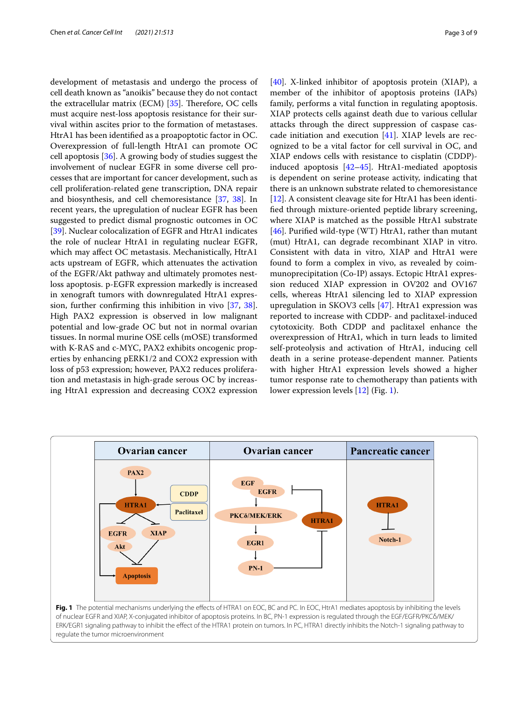development of metastasis and undergo the process of cell death known as "anoikis" because they do not contact the extracellular matrix (ECM)  $[35]$  $[35]$ . Therefore, OC cells must acquire nest-loss apoptosis resistance for their survival within ascites prior to the formation of metastases. HtrA1 has been identifed as a proapoptotic factor in OC. Overexpression of full-length HtrA1 can promote OC cell apoptosis [[36](#page-6-35)]. A growing body of studies suggest the involvement of nuclear EGFR in some diverse cell processes that are important for cancer development, such as cell proliferation-related gene transcription, DNA repair and biosynthesis, and cell chemoresistance [\[37,](#page-6-36) [38](#page-6-37)]. In recent years, the upregulation of nuclear EGFR has been suggested to predict dismal prognostic outcomes in OC [[39\]](#page-6-38). Nuclear colocalization of EGFR and HtrA1 indicates the role of nuclear HtrA1 in regulating nuclear EGFR, which may afect OC metastasis. Mechanistically, HtrA1 acts upstream of EGFR, which attenuates the activation of the EGFR/Akt pathway and ultimately promotes nestloss apoptosis. p-EGFR expression markedly is increased in xenograft tumors with downregulated HtrA1 expression, further confrming this inhibition in vivo [[37](#page-6-36), [38](#page-6-37)]. High PAX2 expression is observed in low malignant potential and low-grade OC but not in normal ovarian tissues. In normal murine OSE cells (mOSE) transformed with K-RAS and c-MYC, PAX2 exhibits oncogenic properties by enhancing pERK1/2 and COX2 expression with loss of p53 expression; however, PAX2 reduces proliferation and metastasis in high-grade serous OC by increasing HtrA1 expression and decreasing COX2 expression

[[40\]](#page-6-39). X-linked inhibitor of apoptosis protein (XIAP), a member of the inhibitor of apoptosis proteins (IAPs) family, performs a vital function in regulating apoptosis. XIAP protects cells against death due to various cellular attacks through the direct suppression of caspase cascade initiation and execution [\[41\]](#page-6-40). XIAP levels are recognized to be a vital factor for cell survival in OC, and XIAP endows cells with resistance to cisplatin (CDDP) induced apoptosis [\[42](#page-6-41)–[45\]](#page-6-42). HtrA1-mediated apoptosis is dependent on serine protease activity, indicating that there is an unknown substrate related to chemoresistance [[12\]](#page-6-11). A consistent cleavage site for HtrA1 has been identifed through mixture-oriented peptide library screening, where XIAP is matched as the possible HtrA1 substrate [[46\]](#page-6-43). Purifed wild-type (WT) HtrA1, rather than mutant (mut) HtrA1, can degrade recombinant XIAP in vitro. Consistent with data in vitro, XIAP and HtrA1 were found to form a complex in vivo, as revealed by coimmunoprecipitation (Co-IP) assays. Ectopic HtrA1 expression reduced XIAP expression in OV202 and OV167 cells, whereas HtrA1 silencing led to XIAP expression upregulation in SKOV3 cells [\[47\]](#page-6-44). HtrA1 expression was reported to increase with CDDP- and paclitaxel-induced cytotoxicity. Both CDDP and paclitaxel enhance the overexpression of HtrA1, which in turn leads to limited self-proteolysis and activation of HtrA1, inducing cell death in a serine protease-dependent manner. Patients with higher HtrA1 expression levels showed a higher tumor response rate to chemotherapy than patients with lower expression levels [[12](#page-6-11)] (Fig. [1](#page-2-0)).

<span id="page-2-0"></span>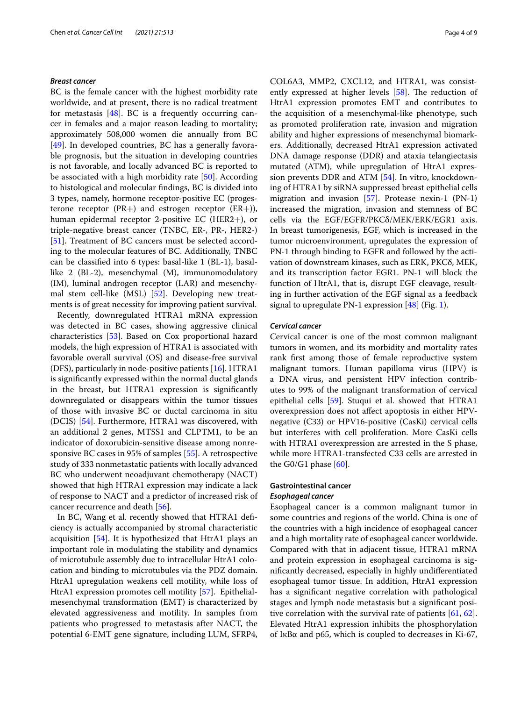#### *Breast cancer*

BC is the female cancer with the highest morbidity rate worldwide, and at present, there is no radical treatment for metastasis  $[48]$  $[48]$  $[48]$ . BC is a frequently occurring cancer in females and a major reason leading to mortality; approximately 508,000 women die annually from BC [[49\]](#page-7-1). In developed countries, BC has a generally favorable prognosis, but the situation in developing countries is not favorable, and locally advanced BC is reported to be associated with a high morbidity rate [[50\]](#page-7-2). According to histological and molecular fndings, BC is divided into 3 types, namely, hormone receptor-positive EC (progesterone receptor ( $PR+$ ) and estrogen receptor ( $ER+$ )), human epidermal receptor 2-positive EC (HER2+), or triple-negative breast cancer (TNBC, ER-, PR-, HER2-) [[51\]](#page-7-3). Treatment of BC cancers must be selected according to the molecular features of BC. Additionally, TNBC can be classifed into 6 types: basal-like 1 (BL-1), basallike 2 (BL-2), mesenchymal (M), immunomodulatory (IM), luminal androgen receptor (LAR) and mesenchymal stem cell-like (MSL) [[52](#page-7-4)]. Developing new treatments is of great necessity for improving patient survival.

Recently, downregulated HTRA1 mRNA expression was detected in BC cases, showing aggressive clinical characteristics [\[53](#page-7-5)]. Based on Cox proportional hazard models, the high expression of HTRA1 is associated with favorable overall survival (OS) and disease-free survival (DFS), particularly in node-positive patients [[16\]](#page-6-15). HTRA1 is signifcantly expressed within the normal ductal glands in the breast, but HTRA1 expression is signifcantly downregulated or disappears within the tumor tissues of those with invasive BC or ductal carcinoma in situ (DCIS) [\[54](#page-7-6)]. Furthermore, HTRA1 was discovered, with an additional 2 genes, MTSS1 and CLPTM1, to be an indicator of doxorubicin-sensitive disease among nonresponsive BC cases in 95% of samples [\[55](#page-7-7)]. A retrospective study of 333 nonmetastatic patients with locally advanced BC who underwent neoadjuvant chemotherapy (NACT) showed that high HTRA1 expression may indicate a lack of response to NACT and a predictor of increased risk of cancer recurrence and death [\[56](#page-7-8)].

In BC, Wang et al. recently showed that HTRA1 defciency is actually accompanied by stromal characteristic acquisition [[54](#page-7-6)]. It is hypothesized that HtrA1 plays an important role in modulating the stability and dynamics of microtubule assembly due to intracellular HtrA1 colocation and binding to microtubules via the PDZ domain. HtrA1 upregulation weakens cell motility, while loss of HtrA1 expression promotes cell motility [[57\]](#page-7-9). Epithelialmesenchymal transformation (EMT) is characterized by elevated aggressiveness and motility. In samples from patients who progressed to metastasis after NACT, the potential 6-EMT gene signature, including LUM, SFRP4,

COL6A3, MMP2, CXCL12, and HTRA1, was consistently expressed at higher levels  $[58]$  $[58]$ . The reduction of HtrA1 expression promotes EMT and contributes to the acquisition of a mesenchymal-like phenotype, such as promoted proliferation rate, invasion and migration ability and higher expressions of mesenchymal biomarkers. Additionally, decreased HtrA1 expression activated DNA damage response (DDR) and ataxia telangiectasis mutated (ATM), while upregulation of HtrA1 expression prevents DDR and ATM [[54](#page-7-6)]. In vitro, knockdowning of HTRA1 by siRNA suppressed breast epithelial cells migration and invasion [\[57](#page-7-9)]. Protease nexin-1 (PN-1) increased the migration, invasion and stemness of BC cells via the EGF/EGFR/PKCδ/MEK/ERK/EGR1 axis. In breast tumorigenesis, EGF, which is increased in the tumor microenvironment, upregulates the expression of PN-1 through binding to EGFR and followed by the activation of downstream kinases, such as ERK, PKCδ, MEK, and its transcription factor EGR1. PN-1 will block the function of HtrA1, that is, disrupt EGF cleavage, resulting in further activation of the EGF signal as a feedback signal to upregulate PN-1 expression [[48\]](#page-7-0) (Fig. [1\)](#page-2-0).

#### *Cervical cancer*

Cervical cancer is one of the most common malignant tumors in women, and its morbidity and mortality rates rank frst among those of female reproductive system malignant tumors. Human papilloma virus (HPV) is a DNA virus, and persistent HPV infection contributes to 99% of the malignant transformation of cervical epithelial cells [\[59](#page-7-11)]. Stuqui et al. showed that HTRA1 overexpression does not afect apoptosis in either HPVnegative (C33) or HPV16-positive (CasKi) cervical cells but interferes with cell proliferation. More CasKi cells with HTRA1 overexpression are arrested in the S phase, while more HTRA1-transfected C33 cells are arrested in the G0/G1 phase  $[60]$  $[60]$ .

## **Gastrointestinal cancer**

#### *Esophageal cancer*

Esophageal cancer is a common malignant tumor in some countries and regions of the world. China is one of the countries with a high incidence of esophageal cancer and a high mortality rate of esophageal cancer worldwide. Compared with that in adjacent tissue, HTRA1 mRNA and protein expression in esophageal carcinoma is signifcantly decreased, especially in highly undiferentiated esophageal tumor tissue. In addition, HtrA1 expression has a signifcant negative correlation with pathological stages and lymph node metastasis but a signifcant positive correlation with the survival rate of patients  $[61, 62]$  $[61, 62]$  $[61, 62]$  $[61, 62]$  $[61, 62]$ . Elevated HtrA1 expression inhibits the phosphorylation of IκBα and p65, which is coupled to decreases in Ki-67,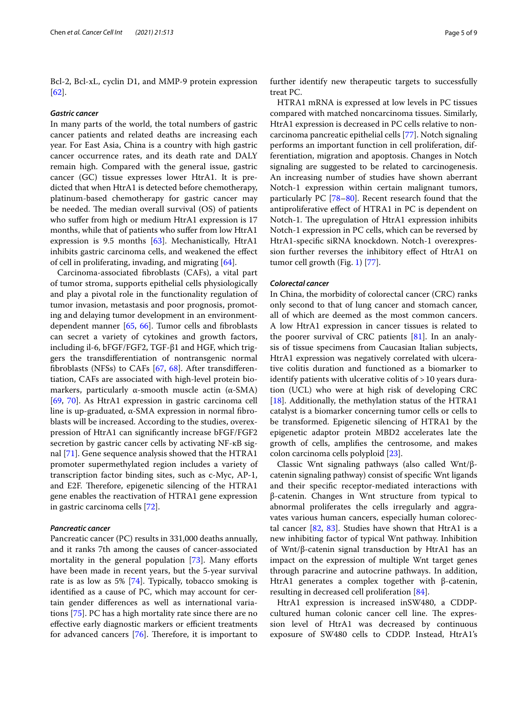Bcl-2, Bcl-xL, cyclin D1, and MMP-9 protein expression [[62\]](#page-7-14).

#### *Gastric cancer*

In many parts of the world, the total numbers of gastric cancer patients and related deaths are increasing each year. For East Asia, China is a country with high gastric cancer occurrence rates, and its death rate and DALY remain high. Compared with the general issue, gastric cancer (GC) tissue expresses lower HtrA1. It is predicted that when HtrA1 is detected before chemotherapy, platinum-based chemotherapy for gastric cancer may be needed. The median overall survival  $OS$  of patients who suffer from high or medium HtrA1 expression is 17 months, while that of patients who sufer from low HtrA1 expression is 9.5 months [[63\]](#page-7-15). Mechanistically, HtrA1 inhibits gastric carcinoma cells, and weakened the efect of cell in proliferating, invading, and migrating [\[64\]](#page-7-16).

Carcinoma-associated fbroblasts (CAFs), a vital part of tumor stroma, supports epithelial cells physiologically and play a pivotal role in the functionality regulation of tumor invasion, metastasis and poor prognosis, promoting and delaying tumor development in an environmentdependent manner [\[65,](#page-7-17) [66\]](#page-7-18). Tumor cells and fbroblasts can secret a variety of cytokines and growth factors, including il-6, bFGF/FGF2, TGF-β1 and HGF, which triggers the transdiferentiation of nontransgenic normal fbroblasts (NFSs) to CAFs [\[67](#page-7-19), [68\]](#page-7-20). After transdiferentiation, CAFs are associated with high-level protein biomarkers, particularly  $\alpha$ -smooth muscle actin ( $\alpha$ -SMA) [[69,](#page-7-21) [70\]](#page-7-22). As HtrA1 expression in gastric carcinoma cell line is up-graduated,  $α$ -SMA expression in normal fibroblasts will be increased. According to the studies, overexpression of HtrA1 can signifcantly increase bFGF/FGF2 secretion by gastric cancer cells by activating NF-кB signal [[71\]](#page-7-23). Gene sequence analysis showed that the HTRA1 promoter supermethylated region includes a variety of transcription factor binding sites, such as c-Myc, AP-1, and E2F. Therefore, epigenetic silencing of the HTRA1 gene enables the reactivation of HTRA1 gene expression in gastric carcinoma cells [\[72](#page-7-24)].

## *Pancreatic cancer*

Pancreatic cancer (PC) results in 331,000 deaths annually, and it ranks 7th among the causes of cancer-associated mortality in the general population [\[73](#page-7-25)]. Many efforts have been made in recent years, but the 5-year survival rate is as low as 5% [\[74\]](#page-7-26). Typically, tobacco smoking is identifed as a cause of PC, which may account for certain gender diferences as well as international variations [[75\]](#page-7-27). PC has a high mortality rate since there are no effective early diagnostic markers or efficient treatments for advanced cancers  $[76]$  $[76]$ . Therefore, it is important to further identify new therapeutic targets to successfully treat PC.

HTRA1 mRNA is expressed at low levels in PC tissues compared with matched noncarcinoma tissues. Similarly, HtrA1 expression is decreased in PC cells relative to noncarcinoma pancreatic epithelial cells [\[77\]](#page-7-29). Notch signaling performs an important function in cell proliferation, differentiation, migration and apoptosis. Changes in Notch signaling are suggested to be related to carcinogenesis. An increasing number of studies have shown aberrant Notch-1 expression within certain malignant tumors, particularly PC [\[78](#page-7-30)[–80](#page-7-31)]. Recent research found that the antiproliferative efect of HTRA1 in PC is dependent on Notch-1. The upregulation of HtrA1 expression inhibits Notch-1 expression in PC cells, which can be reversed by HtrA1-specifc siRNA knockdown. Notch-1 overexpression further reverses the inhibitory efect of HtrA1 on tumor cell growth (Fig. [1\)](#page-2-0) [\[77](#page-7-29)].

#### *Colorectal cancer*

In China, the morbidity of colorectal cancer (CRC) ranks only second to that of lung cancer and stomach cancer, all of which are deemed as the most common cancers. A low HtrA1 expression in cancer tissues is related to the poorer survival of CRC patients [[81\]](#page-7-32). In an analysis of tissue specimens from Caucasian Italian subjects, HtrA1 expression was negatively correlated with ulcerative colitis duration and functioned as a biomarker to identify patients with ulcerative colitis of >10 years duration (UCL) who were at high risk of developing CRC [[18\]](#page-6-17). Additionally, the methylation status of the HTRA1 catalyst is a biomarker concerning tumor cells or cells to be transformed. Epigenetic silencing of HTRA1 by the epigenetic adaptor protein MBD2 accelerates late the growth of cells, amplifes the centrosome, and makes colon carcinoma cells polyploid [\[23](#page-6-22)].

Classic Wnt signaling pathways (also called Wnt/βcatenin signaling pathway) consist of specifc Wnt ligands and their specifc receptor-mediated interactions with β-catenin. Changes in Wnt structure from typical to abnormal proliferates the cells irregularly and aggravates various human cancers, especially human colorectal cancer  $[82, 83]$  $[82, 83]$  $[82, 83]$  $[82, 83]$  $[82, 83]$ . Studies have shown that HtrA1 is a new inhibiting factor of typical Wnt pathway. Inhibition of Wnt/β-catenin signal transduction by HtrA1 has an impact on the expression of multiple Wnt target genes through paracrine and autocrine pathways. In addition, HtrA1 generates a complex together with β-catenin, resulting in decreased cell proliferation [\[84](#page-7-35)].

HtrA1 expression is increased inSW480, a CDDPcultured human colonic cancer cell line. The expression level of HtrA1 was decreased by continuous exposure of SW480 cells to CDDP. Instead, HtrA1's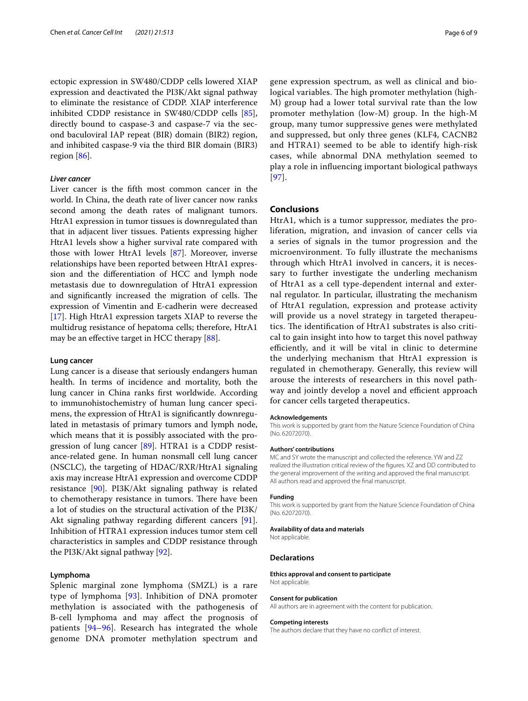ectopic expression in SW480/CDDP cells lowered XIAP expression and deactivated the PI3K/Akt signal pathway to eliminate the resistance of CDDP. XIAP interference inhibited CDDP resistance in SW480/CDDP cells [\[85](#page-7-36)], directly bound to caspase-3 and caspase-7 via the second baculoviral IAP repeat (BIR) domain (BIR2) region, and inhibited caspase-9 via the third BIR domain (BIR3) region [\[86](#page-7-37)].

## *Liver cancer*

Liver cancer is the ffth most common cancer in the world. In China, the death rate of liver cancer now ranks second among the death rates of malignant tumors. HtrA1 expression in tumor tissues is downregulated than that in adjacent liver tissues. Patients expressing higher HtrA1 levels show a higher survival rate compared with those with lower HtrA1 levels [\[87\]](#page-7-38). Moreover, inverse relationships have been reported between HtrA1 expression and the diferentiation of HCC and lymph node metastasis due to downregulation of HtrA1 expression and significantly increased the migration of cells. The expression of Vimentin and E-cadherin were decreased [[17\]](#page-6-16). High HtrA1 expression targets XIAP to reverse the multidrug resistance of hepatoma cells; therefore, HtrA1 may be an efective target in HCC therapy [\[88\]](#page-7-39).

#### **Lung cancer**

Lung cancer is a disease that seriously endangers human health. In terms of incidence and mortality, both the lung cancer in China ranks frst worldwide. According to immunohistochemistry of human lung cancer specimens, the expression of HtrA1 is signifcantly downregulated in metastasis of primary tumors and lymph node, which means that it is possibly associated with the progression of lung cancer [[89](#page-7-40)]. HTRA1 is a CDDP resistance-related gene. In human nonsmall cell lung cancer (NSCLC), the targeting of HDAC/RXR/HtrA1 signaling axis may increase HtrA1 expression and overcome CDDP resistance [[90](#page-7-41)]. PI3K/Akt signaling pathway is related to chemotherapy resistance in tumors. There have been a lot of studies on the structural activation of the PI3K/ Akt signaling pathway regarding diferent cancers [\[91](#page-7-42)]. Inhibition of HTRA1 expression induces tumor stem cell characteristics in samples and CDDP resistance through the PI3K/Akt signal pathway [[92\]](#page-7-43).

## **Lymphoma**

Splenic marginal zone lymphoma (SMZL) is a rare type of lymphoma [[93\]](#page-7-44). Inhibition of DNA promoter methylation is associated with the pathogenesis of B-cell lymphoma and may afect the prognosis of patients [[94–](#page-7-45)[96](#page-8-0)]. Research has integrated the whole genome DNA promoter methylation spectrum and

gene expression spectrum, as well as clinical and biological variables. The high promoter methylation (high-M) group had a lower total survival rate than the low promoter methylation (low-M) group. In the high-M group, many tumor suppressive genes were methylated and suppressed, but only three genes (KLF4, CACNB2 and HTRA1) seemed to be able to identify high-risk cases, while abnormal DNA methylation seemed to play a role in infuencing important biological pathways [[97](#page-8-1)].

#### **Conclusions**

HtrA1, which is a tumor suppressor, mediates the proliferation, migration, and invasion of cancer cells via a series of signals in the tumor progression and the microenvironment. To fully illustrate the mechanisms through which HtrA1 involved in cancers, it is necessary to further investigate the underling mechanism of HtrA1 as a cell type-dependent internal and external regulator. In particular, illustrating the mechanism of HtrA1 regulation, expression and protease activity will provide us a novel strategy in targeted therapeutics. The identification of HtrA1 substrates is also critical to gain insight into how to target this novel pathway efficiently, and it will be vital in clinic to determine the underlying mechanism that HtrA1 expression is regulated in chemotherapy. Generally, this review will arouse the interests of researchers in this novel pathway and jointly develop a novel and efficient approach for cancer cells targeted therapeutics.

#### **Acknowledgements**

This work is supported by grant from the Nature Science Foundation of China (No. 62072070).

#### **Authors' contributions**

MC and SY wrote the manuscript and collected the reference. YW and ZZ realized the illustration critical review of the fgures. XZ and DD contributed to the general improvement of the writing and approved the fnal manuscript. All authors read and approved the fnal manuscript.

## **Funding**

This work is supported by grant from the Nature Science Foundation of China (No. 62072070).

#### **Availability of data and materials**

Not applicable.

#### **Declarations**

**Ethics approval and consent to participate** Not applicable.

#### **Consent for publication**

All authors are in agreement with the content for publication.

#### **Competing interests**

The authors declare that they have no confict of interest.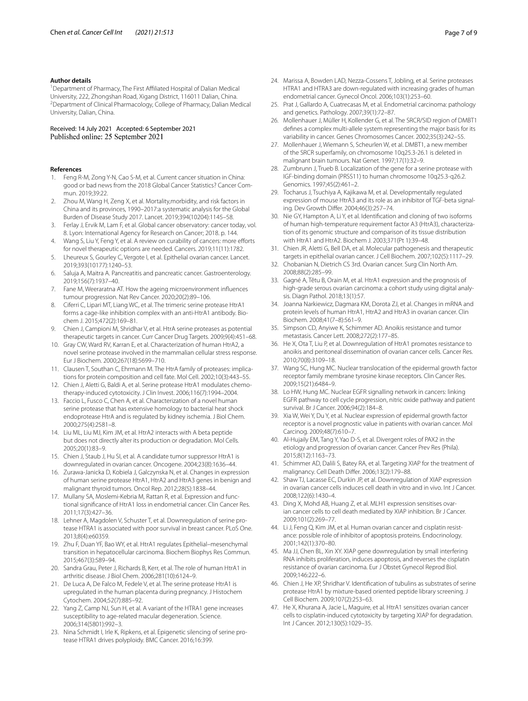#### **Author details**

<sup>1</sup> Department of Pharmacy, The First Affiliated Hospital of Dalian Medical University, 222, Zhongshan Road, Xigang District, 116011 Dalian, China. 2 <sup>2</sup> Department of Clinical Pharmacology, College of Pharmacy, Dalian Medical University, Dalian, China.

Received: 14 July 2021 Accepted: 6 September 2021 Published online: 25 September 2021

#### **References**

- <span id="page-6-0"></span>1. Feng R-M, Zong Y-N, Cao S-M, et al. Current cancer situation in China: good or bad news from the 2018 Global Cancer Statistics? Cancer Commun. 2019;39:22.
- <span id="page-6-1"></span>2. Zhou M, Wang H, Zeng X, et al. Mortality,morbidity, and risk factors in China and its provinces, 1990–2017:a systematic analysis for the Global Burden of Disease Study 2017. Lancet. 2019;394(10204):1145–58.
- <span id="page-6-2"></span>3. Ferlay J, Ervik M, Lam F, et al. Global cancer observatory: cancer today, vol. 8. Lyon: International Agency for Research on Cancer; 2018. p. 144.
- <span id="page-6-3"></span>4. Wang S, Liu Y, Feng Y, et al. A review on curability of cancers: more efforts for novel therapeutic options are needed. Cancers. 2019;11(11):1782.
- <span id="page-6-4"></span>5. Lheureux S, Gourley C, Vergote I, et al. Epithelial ovarian cancer. Lancet. 2019;393(10177):1240–53.
- <span id="page-6-5"></span>6. Saluja A, Maitra A. Pancreatitis and pancreatic cancer. Gastroenterology. 2019;156(7):1937–40.
- <span id="page-6-6"></span>7. Fane M, Weeraratna AT. How the ageing microenvironment infuences tumour progression. Nat Rev Cancer. 2020;20(2):89–106.
- <span id="page-6-7"></span>8. Ciferri C, Lipari MT, Liang WC, et al. The trimeric serine protease HtrA1 forms a cage-like inhibition complex with an anti-HtrA1 antibody. Biochem J. 2015;472(2):169–81.
- <span id="page-6-8"></span>9. Chien J, Campioni M, Shridhar V, et al. HtrA serine proteases as potential therapeutic targets in cancer. Curr Cancer Drug Targets. 2009;9(4):451–68.
- <span id="page-6-9"></span>10. Gray CW, Ward RV, Karran E, et al. Characterization of human HtrA2, a novel serine protease involved in the mammalian cellular stress response. Eur J Biochem. 2000;267(18):5699–710.
- <span id="page-6-10"></span>11. Clausen T, Southan C, Ehrmann M. The HtrA family of proteases: implications for protein composition and cell fate. Mol Cell. 2002;10(3):443–55.
- <span id="page-6-11"></span>12. Chien J, Aletti G, Baldi A, et al. Serine protease HtrA1 modulates chemotherapy-induced cytotoxicity. J Clin Invest. 2006;116(7):1994–2004.
- <span id="page-6-12"></span>13. Faccio L, Fusco C, Chen A, et al. Characterization of a novel human serine protease that has extensive homology to bacterial heat shock endoprotease HtrA and is regulated by kidney ischemia. J Biol Chem. 2000;275(4):2581–8.
- <span id="page-6-13"></span>14. Liu ML, Liu MJ, Kim JM, et al. HtrA2 interacts with A beta peptide but does not directly alter its production or degradation. Mol Cells. 2005;20(1):83–9.
- <span id="page-6-14"></span>15. Chien J, Staub J, Hu SI, et al. A candidate tumor suppressor HtrA1 is downregulated in ovarian cancer. Oncogene. 2004;23(8):1636–44.
- <span id="page-6-15"></span>16. Zurawa-Janicka D, Kobiela J, Galczynska N, et al. Changes in expression of human serine protease HtrA1, HtrA2 and HtrA3 genes in benign and malignant thyroid tumors. Oncol Rep. 2012;28(5):1838–44.
- <span id="page-6-16"></span>17. Mullany SA, Moslemi-Kebria M, Rattan R, et al. Expression and functional signifcance of HtrA1 loss in endometrial cancer. Clin Cancer Res. 2011;17(3):427–36.
- <span id="page-6-17"></span>18. Lehner A, Magdolen V, Schuster T, et al. Downregulation of serine protease HTRA1 is associated with poor survival in breast cancer. PLoS One. 2013;8(4):e60359.
- <span id="page-6-18"></span>19. Zhu F, Duan YF, Bao WY, et al. HtrA1 regulates Epithelial–mesenchymal transition in hepatocellular carcinoma. Biochem Biophys Res Commun. 2015;467(3):589–94.
- <span id="page-6-19"></span>20. Sandra Grau, Peter J, Richards B, Kerr, et al. The role of human HtrA1 in arthritic disease. J Biol Chem. 2006;281(10):6124–9.
- <span id="page-6-20"></span>21. De Luca A, De Falco M, Fedele V, et al. The serine protease HtrA1 is upregulated in the human placenta during pregnancy. J Histochem Cytochem. 2004;52(7):885–92.
- <span id="page-6-21"></span>22. Yang Z, Camp NJ, Sun H, et al. A variant of the HTRA1 gene increases susceptibility to age-related macular degeneration. Science. 2006;314(5801):992–3.
- <span id="page-6-22"></span>23. Nina Schmidt I, Irle K, Ripkens, et al. Epigenetic silencing of serine protease HTRA1 drives polyploidy. BMC Cancer. 2016;16:399.
- <span id="page-6-23"></span>24. Marissa A, Bowden LAD, Nezza-Cossens T, Jobling, et al. Serine proteases HTRA1 and HTRA3 are down-regulated with increasing grades of human endometrial cancer. Gynecol Oncol. 2006;103(1):253–60.
- <span id="page-6-24"></span>25. Prat J, Gallardo A, Cuatrecasas M, et al. Endometrial carcinoma: pathology and genetics. Pathology. 2007;39(1):72–87.
- <span id="page-6-25"></span>26. Mollenhauer J, Müller H, Kollender G, et al. The SRCR/SID region of DMBT1 defnes a complex multi-allele system representing the major basis for its variability in cancer. Genes Chromosomes Cancer. 2002;35(3):242–55.
- <span id="page-6-26"></span>27. Mollenhauer J, Wiemann S, Scheurlen W, et al. DMBT1, a new member of the SRCR superfamily, on chromosome 10q25.3-26.1 is deleted in malignant brain tumours. Nat Genet. 1997;17(1):32–9.
- <span id="page-6-27"></span>28. Zumbrunn J, Trueb B. Localization of the gene for a serine protease with IGF-binding domain (PRSS11) to human chromosome 10q25.3-q26.2. Genomics. 1997;45(2):461–2.
- <span id="page-6-28"></span>29. Tocharus J, Tsuchiya A, Kajikawa M, et al. Developmentally regulated expression of mouse HtrA3 and its role as an inhibitor of TGF-beta signaling. Dev Growth Difer. 2004;46(3):257–74.
- <span id="page-6-29"></span>30. Nie GY, Hampton A, Li Y, et al. Identifcation and cloning of two isoforms of human high-temperature requirement factor A3 (HtrA3), characterization of its genomic structure and comparison of its tissue distribution with HtrA1 and HtrA2. Biochem J. 2003;371(Pt 1):39–48.
- <span id="page-6-30"></span>31. Chien JR, Aletti G, Bell DA, et al. Molecular pathogenesis and therapeutic targets in epithelial ovarian cancer. J Cell Biochem. 2007;102(5):1117–29.
- <span id="page-6-31"></span>32. Chobanian N, Dietrich CS 3rd. Ovarian cancer. Surg Clin North Am. 2008;88(2):285–99.
- <span id="page-6-32"></span>33. Gagné A, Têtu B, Orain M, et al. HtrA1 expression and the prognosis of high-grade serous ovarian carcinoma: a cohort study using digital analysis. Diagn Pathol. 2018;13(1):57.
- <span id="page-6-33"></span>34. Joanna Narkiewicz, Dagmara KM, Dorota ZJ, et al. Changes in mRNA and protein levels of human HtrA1, HtrA2 and HtrA3 in ovarian cancer. Clin Biochem. 2008;41(7–8):561–9.
- <span id="page-6-34"></span>35. Simpson CD, Anyiwe K, Schimmer AD. Anoikis resistance and tumor metastasis. Cancer Lett. 2008;272(2):177–85.
- <span id="page-6-35"></span>36. He X, Ota T, Liu P, et al. Downregulation of HtrA1 promotes resistance to anoikis and peritoneal dissemination of ovarian cancer cells. Cancer Res. 2010;70(8):3109–18.
- <span id="page-6-36"></span>37. Wang SC, Hung MC. Nuclear translocation of the epidermal growth factor receptor family membrane tyrosine kinase receptors. Clin Cancer Res. 2009;15(21):6484–9.
- <span id="page-6-37"></span>38. Lo HW, Hung MC. Nuclear EGFR signalling network in cancers: linking EGFR pathway to cell cycle progression, nitric oxide pathway and patient survival. Br J Cancer. 2006;94(2):184–8.
- <span id="page-6-38"></span>39. Xia W, Wei Y, Du Y, et al. Nuclear expression of epidermal growth factor receptor is a novel prognostic value in patients with ovarian cancer. Mol Carcinog. 2009;48(7):610–7.
- <span id="page-6-39"></span>40. Al-Hujaily EM, Tang Y, Yao D-S, et al. Divergent roles of PAX2 in the etiology and progression of ovarian cancer. Cancer Prev Res (Phila). 2015;8(12):1163–73.
- <span id="page-6-40"></span>41. Schimmer AD, Dalili S, Batey RA, et al. Targeting XIAP for the treatment of malignancy. Cell Death Difer. 2006;13(2):179–88.
- <span id="page-6-41"></span>42. Shaw TJ, Lacasse EC, Durkin JP, et al. Downregulation of XIAP expression in ovarian cancer cells induces cell death in vitro and in vivo. Int J Cancer. 2008;122(6):1430–4.
- 43. Ding X, Mohd AB, Huang Z, et al. MLH1 expression sensitises ovarian cancer cells to cell death mediated by XIAP inhibition. Br J Cancer. 2009;101(2):269–77.
- 44. Li J, Feng Q, Kim JM, et al. Human ovarian cancer and cisplatin resistance: possible role of inhibitor of apoptosis proteins. Endocrinology. 2001;142(1):370–80.
- <span id="page-6-42"></span>45. Ma JJ, Chen BL, Xin XY. XIAP gene downregulation by small interfering RNA inhibits proliferation, induces apoptosis, and reverses the cisplatin resistance of ovarian carcinoma. Eur J Obstet Gynecol Reprod Biol. 2009;146:222–6.
- <span id="page-6-43"></span>46. Chien J, He XP, Shridhar V. Identifcation of tubulins as substrates of serine protease HtrA1 by mixture-based oriented peptide library screening. J Cell Biochem. 2009;107(2):253–63.
- <span id="page-6-44"></span>47. He X, Khurana A, Jacie L, Maguire, et al. HtrA1 sensitizes ovarian cancer cells to cisplatin-induced cytotoxicity by targeting XIAP for degradation. Int J Cancer. 2012;130(5):1029–35.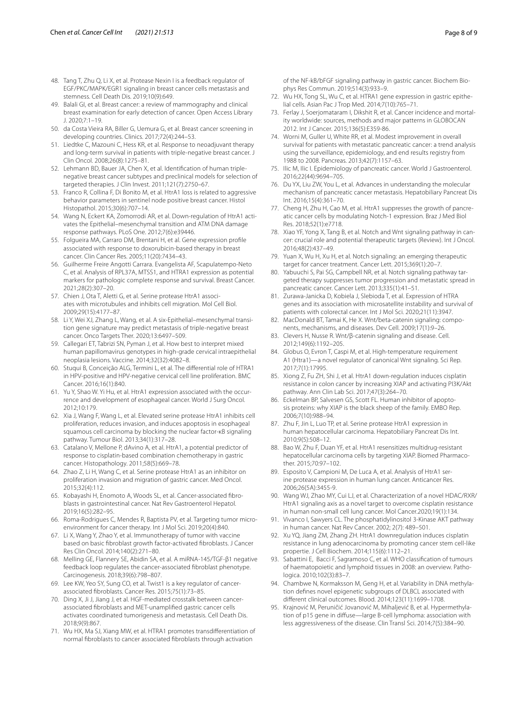- <span id="page-7-0"></span>48. Tang T, Zhu Q, Li X, et al. Protease Nexin I is a feedback regulator of EGF/PKC/MAPK/EGR1 signaling in breast cancer cells metastasis and stemness. Cell Death Dis. 2019;10(9):649.
- <span id="page-7-1"></span>49. Balali GI, et al. Breast cancer: a review of mammography and clinical breast examination for early detection of cancer. Open Access Library J. 2020;7:1–19.
- <span id="page-7-2"></span>50. da Costa Vieira RA, Biller G, Uemura G, et al. Breast cancer screening in developing countries. Clinics. 2017;72(4):244–53.
- <span id="page-7-3"></span>51. Liedtke C, Mazouni C, Hess KR, et al. Response to neoadjuvant therapy and long-term survival in patients with triple-negative breast cancer. J Clin Oncol. 2008;26(8):1275–81.
- <span id="page-7-4"></span>52. Lehmann BD, Bauer JA, Chen X, et al. Identifcation of human triplenegative breast cancer subtypes and preclinical models for selection of targeted therapies. J Clin Invest. 2011;121(7):2750–67.
- <span id="page-7-5"></span>53. Franco R, Collina F, Di Bonito M, et al. HtrA1 loss is related to aggressive behavior parameters in sentinel node positive breast cancer. Histol Histopathol. 2015;30(6):707–14.
- <span id="page-7-6"></span>54. Wang N, Eckert KA, Zomorrodi AR, et al. Down-regulation of HtrA1 activates the Epithelial–mesenchymal transition and ATM DNA damage response pathways. PLoS One. 2012;7(6):e39446.
- <span id="page-7-7"></span>55. Folgueira MA, Carraro DM, Brentani H, et al. Gene expression profle associated with response to doxorubicin-based therapy in breast cancer. Clin Cancer Res. 2005;11(20):7434–43.
- <span id="page-7-8"></span>56. Guilherme Freire Angotti Carrara. Evangelista AF, Scapulatempo-Neto C, et al. Analysis of RPL37A, MTSS1, and HTRA1 expression as potential markers for pathologic complete response and survival. Breast Cancer. 2021;28(2):307–20.
- <span id="page-7-9"></span>57. Chien J, Ota T, Aletti G, et al. Serine protease HtrA1 associates with microtubules and inhibits cell migration. Mol Cell Biol. 2009;29(15):4177–87.
- <span id="page-7-10"></span>58. Li Y, Wei XJ, Zhang L, Wang, et al. A six-Epithelial–mesenchymal transition gene signature may predict metastasis of triple-negative breast cancer. Onco Targets Ther. 2020;13:6497–509.
- <span id="page-7-11"></span>59. Callegari ET, Tabrizi SN, Pyman J, et al. How best to interpret mixed human papillomavirus genotypes in high-grade cervical intraepithelial neoplasia lesions. Vaccine. 2014;32(32):4082–8.
- <span id="page-7-12"></span>60. Stuqui B, Conceição ALG, Termini L, et al. The diferential role of HTRA1 in HPV-positive and HPV-negative cervical cell line proliferation. BMC Cancer. 2016;16(1):840.
- <span id="page-7-13"></span>61. Yu Y, Shao W. Yi Hu, et al. HtrA1 expression associated with the occurrence and development of esophageal cancer. World J Surg Oncol. 2012;10:179.
- <span id="page-7-14"></span>62. Xia J, Wang F, Wang L, et al. Elevated serine protease HtrA1 inhibits cell proliferation, reduces invasion, and induces apoptosis in esophageal squamous cell carcinoma by blocking the nuclear factor-κB signaling pathway. Tumour Biol. 2013;34(1):317–28.
- <span id="page-7-15"></span>63. Catalano V, Mellone P, dAvino A, et al. HtrA1, a potential predictor of response to cisplatin-based combination chemotherapy in gastric cancer. Histopathology. 2011;58(5):669–78.
- <span id="page-7-16"></span>64. Zhao Z, Li H, Wang C, et al. Serine protease HtrA1 as an inhibitor on proliferation invasion and migration of gastric cancer. Med Oncol. 2015;32(4):112.
- <span id="page-7-17"></span>65. Kobayashi H, Enomoto A, Woods SL, et al. Cancer-associated fbroblasts in gastrointestinal cancer. Nat Rev Gastroenterol Hepatol. 2019;16(5):282–95.
- <span id="page-7-18"></span>66. Roma-Rodrigues C, Mendes R, Baptista PV, et al. Targeting tumor microenvironment for cancer therapy. Int J Mol Sci. 2019;20(4):840.
- <span id="page-7-19"></span>67. Li X, Wang Y, Zhao Y, et al. Immunotherapy of tumor with vaccine based on basic fbroblast growth factor-activated fbroblasts. J Cancer Res Clin Oncol. 2014;140(2):271–80.
- <span id="page-7-20"></span>68. Melling GE, Flannery SE, Abidin SA, et al. A miRNA-145/TGF-β1 negative feedback loop regulates the cancer-associated fbroblast phenotype. Carcinogenesis. 2018;39(6):798–807.
- <span id="page-7-21"></span>69. Lee KW, Yeo SY, Sung CO, et al. Twist1 is a key regulator of cancerassociated fbroblasts. Cancer Res. 2015;75(1):73–85.
- <span id="page-7-22"></span>70. Ding X, Ji J, Jiang J, et al. HGF-mediated crosstalk between cancerassociated fbroblasts and MET-unamplifed gastric cancer cells activates coordinated tumorigenesis and metastasis. Cell Death Dis. 2018;9(9):867.
- <span id="page-7-23"></span>71. Wu HX, Ma SJ, Xiang MW, et al. HTRA1 promotes transdiferentiation of normal fbroblasts to cancer associated fbroblasts through activation

of the NF-kB/bFGF signaling pathway in gastric cancer. Biochem Biophys Res Commun. 2019;514(3):933–9.

- <span id="page-7-24"></span>72. Wu HX, Tong SL, Wu C, et al. HTRA1 gene expression in gastric epithelial cells. Asian Pac J Trop Med. 2014;7(10):765–71.
- <span id="page-7-25"></span>73. Ferlay J, Soerjomataram I, Dikshit R, et al. Cancer incidence and mortality worldwide: sources, methods and major patterns in GLOBOCAN 2012. Int J Cancer. 2015;136(5):E359-86.
- <span id="page-7-26"></span>74. Worni M, Guller U, White RR, et al. Modest improvement in overall survival for patients with metastatic pancreatic cancer: a trend analysis using the surveillance, epidemiology, and end results registry from 1988 to 2008. Pancreas. 2013;42(7):1157–63.
- <span id="page-7-27"></span>75. Ilic M, Ilic I. Epidemiology of pancreatic cancer. World J Gastroenterol. 2016;22(44):9694–705.
- <span id="page-7-28"></span>76. Du YX, Liu ZW, You L, et al. Advances in understanding the molecular mechanism of pancreatic cancer metastasis. Hepatobiliary Pancreat Dis Int. 2016;15(4):361–70.
- <span id="page-7-29"></span>77. Cheng H, Zhu H, Cao M, et al. HtrA1 suppresses the growth of pancreatic cancer cells by modulating Notch-1 expression. Braz J Med Biol Res. 2018;52(1):e7718.
- <span id="page-7-30"></span>78. Xiao YF, Yong X, Tang B, et al. Notch and Wnt signaling pathway in cancer: crucial role and potential therapeutic targets (Review). Int J Oncol. 2016;48(2):437–49.
- 79. Yuan X, Wu H, Xu H, et al. Notch signaling: an emerging therapeutic target for cancer treatment. Cancer Lett. 2015;369(1):20–7.
- <span id="page-7-31"></span>80. Yabuuchi S, Pai SG, Campbell NR, et al. Notch signaling pathway targeted therapy suppresses tumor progression and metastatic spread in pancreatic cancer. Cancer Lett. 2013;335(1):41–51.
- <span id="page-7-32"></span>81. Zurawa-Janicka D, Kobiela J, Slebioda T, et al. Expression of HTRA genes and its association with microsatellite instability and survival of patients with colorectal cancer. Int J Mol Sci. 2020;21(11):3947.
- <span id="page-7-33"></span>82. MacDonald BT, Tamai K, He X. Wnt/beta-catenin signaling: components, mechanisms, and diseases. Dev Cell. 2009;17(1):9–26.
- <span id="page-7-34"></span>83. Clevers H, Nusse R. Wnt/β-catenin signaling and disease. Cell. 2012;149(6):1192–205.
- <span id="page-7-35"></span>84. Globus O, Evron T, Caspi M, et al. High-temperature requirement A1 (Htra1)—a novel regulator of canonical Wnt signaling. Sci Rep. 2017;7(1):17995.
- <span id="page-7-36"></span>85. Xiong Z, Fu ZH, Shi J, et al. HtrA1 down-regulation induces cisplatin resistance in colon cancer by increasing XIAP and activating PI3K/Akt pathway. Ann Clin Lab Sci. 2017;47(3):264–70.
- <span id="page-7-37"></span>86. Eckelman BP, Salvesen GS, Scott FL. Human inhibitor of apoptosis proteins: why XIAP is the black sheep of the family. EMBO Rep. 2006;7(10):988–94.
- <span id="page-7-38"></span>87. Zhu F, Jin L, Luo TP, et al. Serine protease HtrA1 expression in human hepatocellular carcinoma. Hepatobiliary Pancreat Dis Int. 2010;9(5):508–12.
- <span id="page-7-39"></span>88. Bao W, Zhu F, Duan YF, et al. HtrA1 resensitizes multidrug-resistant hepatocellular carcinoma cells by targeting XIAP. Biomed Pharmacother. 2015;70:97–102.
- <span id="page-7-40"></span>89. Esposito V, Campioni M, De Luca A, et al. Analysis of HtrA1 serine protease expression in human lung cancer. Anticancer Res. 2006;26(5A):3455-9.
- <span id="page-7-41"></span>90. Wang WJ, Zhao MY, Cui LJ, et al. Characterization of a novel HDAC/RXR/ HtrA1 signaling axis as a novel target to overcome cisplatin resistance in human non-small cell lung cancer. Mol Cancer.2020;19(1):134.
- <span id="page-7-42"></span>91. Vivanco I, Sawyers CL. The phosphatidylinositol 3-Kinase AKT pathway in human cancer. Nat Rev Cancer. 2002; 2(7): 489–501.
- <span id="page-7-43"></span>92. Xu YQ, Jiang ZM, Zhang ZH. HtrA1 downregulation induces cisplatin resistance in lung adenocarcinoma by promoting cancer stem cell-like propertie. J Cell Biochem. 2014;115(6):1112–21.
- <span id="page-7-44"></span>93. Sabattini E, Bacci F, Sagramoso C, et al. WHO classifcation of tumours of haematopoietic and lymphoid tissues in 2008: an overview. Pathologica. 2010;102(3):83–7.
- <span id="page-7-45"></span>94. Chambwe N, Kormaksson M, Geng H, et al. Variability in DNA methylation defnes novel epigenetic subgroups of DLBCL associated with diferent clinical outcomes. Blood. 2014;123(11):1699–1708.
- 95. Krajnović M, Peruničić Jovanović M, Mihaljević B, et al. Hypermethylation of p15 gene in difuse—large B-cell lymphoma: association with less aggressiveness of the disease. Clin Transl Sci. 2014;7(5):384–90.